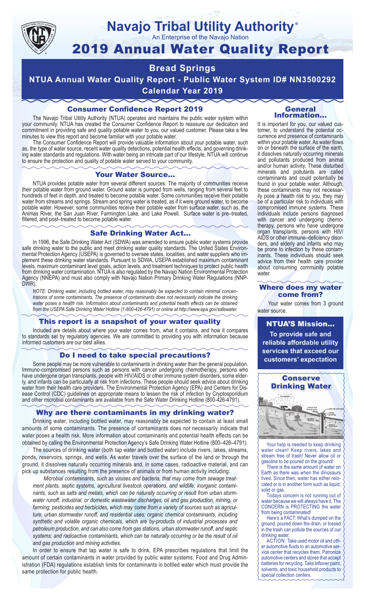

## **Navajo Tribal Utility Authority** ®

An Enterprise of the Navajo Nation

# 2019 Annual Water Quality Report

# **Bread Springs**

**NTUA Annual Water Quality Report - Public Water System ID# NN3500292 Calendar Year 2019**

## Consumer Confidence Report 2019

The Navajo Tribal Utility Authority (NTUA) operates and maintains the public water system within your community. NTUA has created the Consumer Confidence Report to reassure our dedication and commitment in providing safe and quality potable water to you, our valued customer. Please take a few minutes to view this report and become familiar with your potable water.

The Consumer Confidence Report will provide valuable information about your potable water, such as, the type of water source, recent water quality detections, potential health effects, and governing drinking water standards and regulations. With water being an intricate part of our lifestyle, NTUA will continue to ensure the protection and quality of potable water served to your community.

#### Your Water Source…

NTUA provides potable water from several different sources. The majority of communities receive their potable water from ground water. Ground water is pumped from wells, ranging from several feet to hundreds of feet in depth, and treated to become potable water. Some communities receive their potable water from streams and springs. Stream and spring water is treated, as if it were ground water, to become potable water. However, some communities receive their potable water from surface water, such as, the Animas River, the San Juan River, Farmington Lake, and Lake Powell. Surface water is pre–treated, filtered, and post–treated to become potable water.

#### Safe Drinking Water Act…

In 1996, the Safe Drinking Water Act (SDWA) was amended to ensure public water systems provide safe drinking water to the public and meet drinking water quality standards. The United States Environmental Protection Agency (USEPA) is governed to oversee states, localities, and water suppliers who implement these drinking water standards. Pursuant to SDWA, USEPA established maximum contaminant levels, maximum contaminant level goals, action levels, and treatment techniques to protect public health from drinking water contamination. NTUA is also regulated by the Navajo Nation Environmental Protection Agency (NNEPA) and must also comply with Navajo Nation Primary Drinking Water Regulations (NNP-DWR)

*NOTE: Drinking water, including bottled water, may reasonably be expected to contain minimal concentrations of some contaminants. The presence of contaminants does not necessarily indicate the drinking water poses a health risk. Information about contaminants and potential health effects can be obtained from the USEPA Safe Drinking Water Hotline (1-800-426-4791) or online at http://www.epa.gov/safewater.*

## This report is a snapshot of your water quality

Included are details about where your water comes from, what it contains, and how it compares to standards set by regulatory agencies. We are committed to providing you with information because informed customers are our best allies.

### Do I need to take special precautions?

Some people may be more vulnerable to contaminants in drinking water than the general population. Immuno-compromised persons such as persons with cancer undergoing chemotherapy, persons who have undergone organ transplants, people with HIV/AIDS or other immune system disorders, some elderly, and infants can be particularly at risk from infections. These people should seek advice about drinking water from their health care providers. The Environmental Protection Agency (EPA) and Centers for Disease Control (CDC) guidelines on appropriate means to lessen the risk of infection by Cryptosporidium and other microbial contaminants are available from the Safe Water Drinking Hotline (800-426-4791).

## Why are there contaminants in my drinking water?

Drinking water, including bottled water, may reasonably be expected to contain at least small amounts of some contaminants. The presence of contaminants does not necessarily indicate that water poses a health risk. More information about contaminants and potential health effects can be obtained by calling the Environmental Protection Agency's Safe Drinking Water Hotline (800–426–4791).

The sources of drinking water (both tap water and bottled water) include rivers, lakes, streams, ponds, reservoirs, springs, and wells. As water travels over the surface of the land or through the ground, it dissolves naturally occurring minerals and, in some cases, radioactive material, and can pick up substances resulting from the presence of animals or from human activity including:

*Microbial contaminants, such as viruses and bacteria, that may come from sewage treatment plants, septic systems, agricultural livestock operations, and wildlife; inorganic contaminants, such as salts and metals, which can be naturally occurring or result from urban stormwater runoff, industrial, or domestic wastewater discharges, oil and gas production, mining, or farming; pesticides and herbicides, which may come from a variety of sources such as agriculture, urban stormwater runoff, and residential uses; organic chemical contaminants, including synthetic and volatile organic chemicals, which are by-products of industrial processes and petroleum production, and can also come from gas stations, urban stormwater runoff, and septic systems; and radioactive contaminants, which can be naturally occurring or be the result of oil and gas production and mining activities.*

In order to ensure that tap water is safe to drink, EPA prescribes regulations that limit the amount of certain contaminants in water provided by public water systems. Food and Drug Administration (FDA) regulations establish limits for contaminants in bottled water which must provide the same protection for public health.

#### General Information…

It is important for you, our valued customer, to understand the potential occurrence and presence of contaminants within your potable water. As water flows on or beneath the surface of the earth, it dissolves naturally occurring minerals and pollutants produced from animal and/or human activity. These disturbed minerals and pollutants are called contaminants and could potentially be found in your potable water. Although, these contaminants may not necessarily pose a health risk to you, they may be of a particular risk to individuals with compromised immune systems. These individuals include persons diagnosed with cancer and undergoing chemo-<br>therapy, persons who have undergone organ transplants, persons with HIV/ AIDS or other immune–deficiency disor- ders, and elderly and infants who may be prone to infection by these contam- inants. These individuals should seek advice from their health care provider about consuming community potable water.

#### Where does my water come from?

Your water comes from 3 ground water source.

NTUA'S Mission... **To provide safe and reliable affordable utility services that exceed our customers' expectation**



Your help is needed to keep drinking water clean! Keep rivers, lakes and stream free of trash! Never allow oil or gasoline to be poured on the ground!

There is the same amount of water on Earth as there was when the dinosaurs lived. Since then, water has either relocated or is in another form such as liquid, solid or gas.

Todays concern is not running out of water because we will always have it. The CONCERN is PROTECTING the water from being contaminated!

Here's a FACT: What's dumped on the ground, poured down the drain, or tossed in the trash can pollute the sources of our drinking water.

ACTION: Take used motor oil and other automotive fluids to an automotive service center that recycles them. Patronize automotive centers and stores that accept batteries for recycling. Take leftover paint, solvents, and toxic household products to special collection centers.